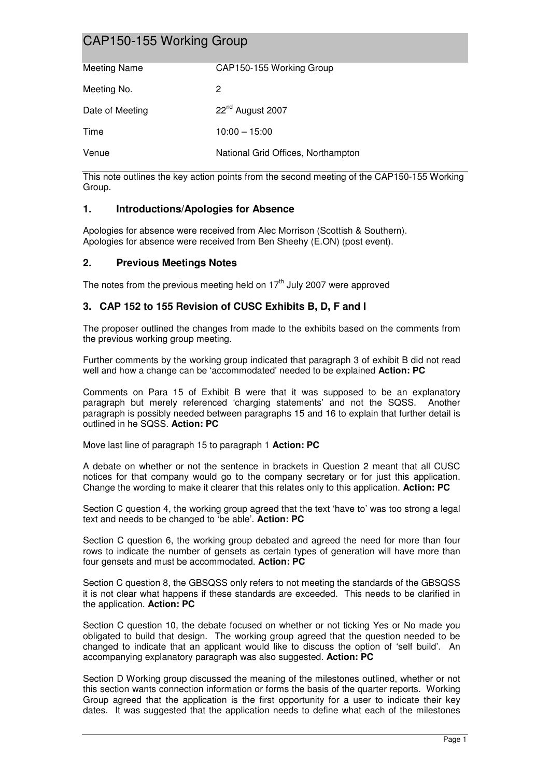# CAP150-155 Working Group

| Meeting Name    | CAP150-155 Working Group           |
|-----------------|------------------------------------|
|                 |                                    |
| Meeting No.     | 2                                  |
| Date of Meeting | 22 <sup>nd</sup> August 2007       |
| Time            | $10:00 - 15:00$                    |
|                 |                                    |
| Venue           | National Grid Offices, Northampton |

This note outlines the key action points from the second meeting of the CAP150-155 Working Group.

## **1. Introductions/Apologies for Absence**

Apologies for absence were received from Alec Morrison (Scottish & Southern). Apologies for absence were received from Ben Sheehy (E.ON) (post event).

### **2. Previous Meetings Notes**

The notes from the previous meeting held on  $17<sup>th</sup>$  July 2007 were approved

### **3. CAP 152 to 155 Revision of CUSC Exhibits B, D, F and I**

The proposer outlined the changes from made to the exhibits based on the comments from the previous working group meeting.

Further comments by the working group indicated that paragraph 3 of exhibit B did not read well and how a change can be 'accommodated' needed to be explained **Action: PC** 

Comments on Para 15 of Exhibit B were that it was supposed to be an explanatory paragraph but merely referenced 'charging statements' and not the SQSS. Another paragraph is possibly needed between paragraphs 15 and 16 to explain that further detail is outlined in he SQSS. **Action: PC**

Move last line of paragraph 15 to paragraph 1 **Action: PC** 

A debate on whether or not the sentence in brackets in Question 2 meant that all CUSC notices for that company would go to the company secretary or for just this application. Change the wording to make it clearer that this relates only to this application. **Action: PC**

Section C question 4, the working group agreed that the text 'have to' was too strong a legal text and needs to be changed to 'be able'. **Action: PC**

Section C question 6, the working group debated and agreed the need for more than four rows to indicate the number of gensets as certain types of generation will have more than four gensets and must be accommodated. **Action: PC** 

Section C question 8, the GBSQSS only refers to not meeting the standards of the GBSQSS it is not clear what happens if these standards are exceeded. This needs to be clarified in the application. **Action: PC**

Section C question 10, the debate focused on whether or not ticking Yes or No made you obligated to build that design. The working group agreed that the question needed to be changed to indicate that an applicant would like to discuss the option of 'self build'. An accompanying explanatory paragraph was also suggested. **Action: PC**

Section D Working group discussed the meaning of the milestones outlined, whether or not this section wants connection information or forms the basis of the quarter reports. Working Group agreed that the application is the first opportunity for a user to indicate their key dates. It was suggested that the application needs to define what each of the milestones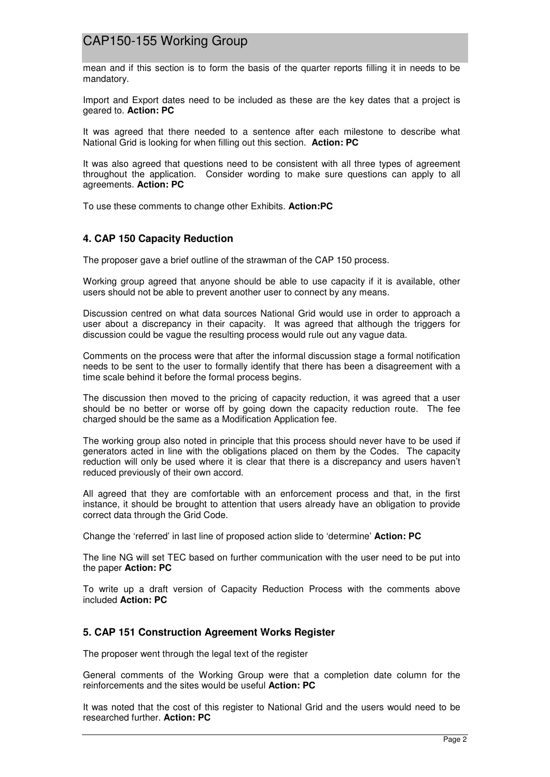## CAP150-155 Working Group

mean and if this section is to form the basis of the quarter reports filling it in needs to be mandatory.

Import and Export dates need to be included as these are the key dates that a project is geared to. **Action: PC**

It was agreed that there needed to a sentence after each milestone to describe what National Grid is looking for when filling out this section. **Action: PC** 

It was also agreed that questions need to be consistent with all three types of agreement throughout the application. Consider wording to make sure questions can apply to all agreements. **Action: PC** 

To use these comments to change other Exhibits. **Action:PC** 

### **4. CAP 150 Capacity Reduction**

The proposer gave a brief outline of the strawman of the CAP 150 process.

Working group agreed that anyone should be able to use capacity if it is available, other users should not be able to prevent another user to connect by any means.

Discussion centred on what data sources National Grid would use in order to approach a user about a discrepancy in their capacity. It was agreed that although the triggers for discussion could be vague the resulting process would rule out any vague data.

Comments on the process were that after the informal discussion stage a formal notification needs to be sent to the user to formally identify that there has been a disagreement with a time scale behind it before the formal process begins.

The discussion then moved to the pricing of capacity reduction, it was agreed that a user should be no better or worse off by going down the capacity reduction route. The fee charged should be the same as a Modification Application fee.

The working group also noted in principle that this process should never have to be used if generators acted in line with the obligations placed on them by the Codes. The capacity reduction will only be used where it is clear that there is a discrepancy and users haven't reduced previously of their own accord.

All agreed that they are comfortable with an enforcement process and that, in the first instance, it should be brought to attention that users already have an obligation to provide correct data through the Grid Code.

Change the 'referred' in last line of proposed action slide to 'determine' **Action: PC**

The line NG will set TEC based on further communication with the user need to be put into the paper **Action: PC** 

To write up a draft version of Capacity Reduction Process with the comments above included **Action: PC**

## **5. CAP 151 Construction Agreement Works Register**

The proposer went through the legal text of the register

General comments of the Working Group were that a completion date column for the reinforcements and the sites would be useful **Action: PC** 

It was noted that the cost of this register to National Grid and the users would need to be researched further. **Action: PC**